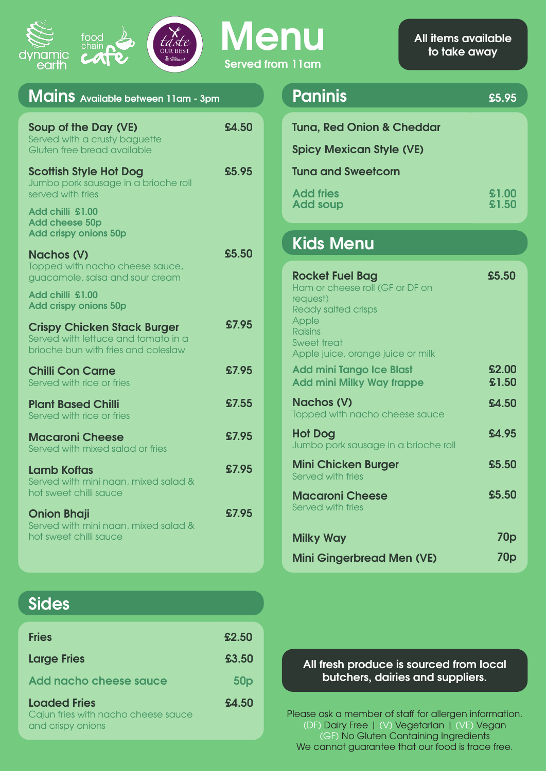



**Menu Served from 11am**

| Mains Available between 11am - 3pm                                                                               |       |
|------------------------------------------------------------------------------------------------------------------|-------|
| Soup of the Day (VE)<br>Served with a crusty baguette<br>Gluten free bread available                             | £4.50 |
| <b>Scottish Style Hot Dog</b><br>Jumbo pork sausage in a brioche roll<br>served with fries                       | £5.95 |
| Add chilli £1.00<br><b>Add cheese 50p</b><br><b>Add crispy onions 50p</b>                                        |       |
| <b>Nachos (V)</b><br>Topped with nacho cheese sauce,<br>guacamole, salsa and sour cream                          | £5.50 |
| Add chilli £1.00<br><b>Add crispy onions 50p</b>                                                                 |       |
| <b>Crispy Chicken Stack Burger</b><br>Served with lettuce and tomato in a<br>brioche bun with fries and coleslaw | £7.95 |
| <b>Chilli Con Carne</b><br>Served with rice or fries                                                             | £7.95 |
| <b>Plant Based Chilli</b><br>Served with rice or fries                                                           | £7.55 |
| <b>Macaroni Cheese</b><br>Served with mixed salad or fries                                                       | £7.95 |
| <b>Lamb Koftas</b><br>Served with mini naan, mixed salad &<br>hot sweet chilli squce                             | £7.95 |
| <b>Onion Bhaji</b><br>Served with mini naan, mixed salad &<br>hot sweet chilli squce                             | £7.95 |

| Paninis                                                                 | £5.95          |
|-------------------------------------------------------------------------|----------------|
| <b>Tuna, Red Onion &amp; Cheddar</b><br><b>Spicy Mexican Style (VE)</b> |                |
| <b>Tuna and Sweetcorn</b>                                               |                |
| <b>Add fries</b><br><b>Add soup</b>                                     | £1.00<br>£1.50 |
| <b>Kids Menu</b>                                                        |                |
|                                                                         |                |

| <b>Rocket Fuel Bag</b><br>Ham or cheese roll (GF or DF on<br>request)<br><b>Ready salted crisps</b><br>Apple<br><b>Raisins</b><br>Sweet treat<br>Apple juice, orange juice or milk | £5.50           |
|------------------------------------------------------------------------------------------------------------------------------------------------------------------------------------|-----------------|
| <b>Add mini Tango Ice Blast</b><br><b>Add mini Milky Way frappe</b>                                                                                                                | £2.00<br>£1.50  |
| <b>Nachos (V)</b><br>Topped with nacho cheese sauce                                                                                                                                | £4.50           |
| <b>Hot Dog</b><br>Jumbo pork sausage in a brioche roll                                                                                                                             | £4.95           |
| <b>Mini Chicken Burger</b><br>Served with fries                                                                                                                                    | £5.50           |
| <b>Macaroni Cheese</b><br>Served with fries                                                                                                                                        | £5.50           |
| <b>Milky Way</b>                                                                                                                                                                   | 70p             |
| <b>Mini Gingerbread Men (VE)</b>                                                                                                                                                   | 70 <sub>p</sub> |

**Sides**

| <b>Fries</b>                                                                    | £2.50           |
|---------------------------------------------------------------------------------|-----------------|
| <b>Large Fries</b>                                                              | £3.50           |
| Add nacho cheese sauce                                                          | 50 <sub>p</sub> |
| <b>Loaded Fries</b><br>Cajun fries with nacho cheese sauce<br>and crispy onions | £4.50           |

#### **All fresh produce is sourced from local butchers, dairies and suppliers.**

Please ask a member of staff for allergen information. (DF) Dairy Free | (V) Vegetarian | (VE) Vegan (GF) No Gluten Containing Ingredients We cannot guarantee that our food is trace free.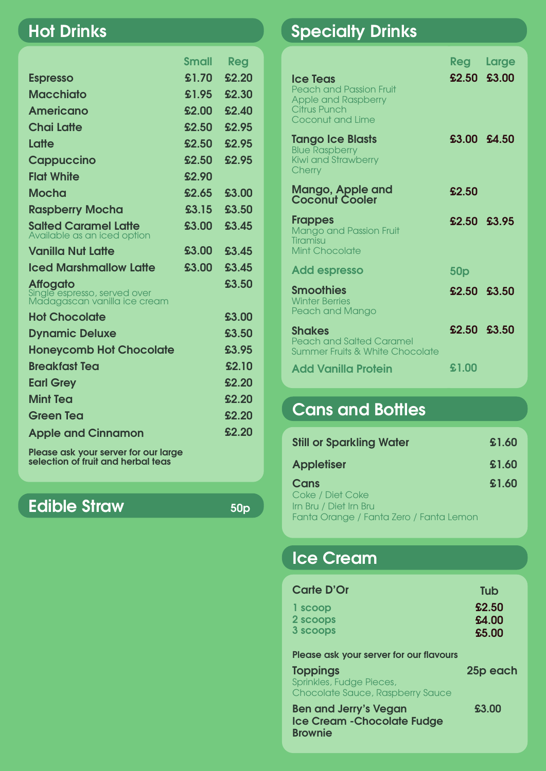#### **Hot Drinks**

|                                                                                 | <b>Small</b> | Reg   |
|---------------------------------------------------------------------------------|--------------|-------|
| <b>Espresso</b>                                                                 | £1.70        | £2.20 |
| <b>Macchiato</b>                                                                | £1.95        | £2.30 |
| Americano                                                                       | £2.00        | £2.40 |
| <b>Chai Latte</b>                                                               | £2.50        | £2.95 |
| Latte                                                                           | £2.50        | £2.95 |
| <b>Cappuccino</b>                                                               | £2.50        | £2.95 |
| <b>Flat White</b>                                                               | £2.90        |       |
| <b>Mocha</b>                                                                    | £2.65        | £3.00 |
| <b>Raspberry Mocha</b>                                                          | £3.15        | £3.50 |
| <b>Salted Caramel Latte</b><br>Available as an iced option                      | £3.00        | £3.45 |
| <b>Vanilla Nut Latte</b>                                                        | £3.00        | £3.45 |
| <b>Iced Marshmallow Latte</b>                                                   | £3.00        | £3.45 |
| <b>Affogato</b><br>Single espresso, served over<br>Madagascan vanilla ice cream |              | £3.50 |
| <b>Hot Chocolate</b>                                                            |              | £3.00 |
| <b>Dynamic Deluxe</b>                                                           |              | £3.50 |
| <b>Honeycomb Hot Chocolate</b>                                                  |              | £3.95 |
| <b>Breakfast Tea</b>                                                            |              | £2.10 |
| <b>Earl Grey</b>                                                                |              | £2.20 |
| <b>Mint Tea</b>                                                                 |              | £2.20 |
| <b>Green Tea</b>                                                                |              | £2.20 |
| <b>Apple and Cinnamon</b>                                                       |              | £2.20 |
| No service and construction of the service of                                   |              |       |

**Please ask your server for our large selection of fruit and herbal teas**

#### **Edible Straw 50p**

## **Specialty Drinks**

|                                                                                                                                   | Reg             | Large |
|-----------------------------------------------------------------------------------------------------------------------------------|-----------------|-------|
| <b>Ice Teas</b><br><b>Peach and Passion Fruit</b><br><b>Apple and Raspberry</b><br><b>Citrus Punch</b><br><b>Coconut and Lime</b> | £2.50 £3.00     |       |
| <b>Tango Ice Blasts</b><br><b>Blue Raspberry</b><br><b>Kiwi and Strawberry</b><br>Cherry                                          | £3.00 £4.50     |       |
| <b>Mango, Apple and<br/>Coconut Cooler</b>                                                                                        | £2.50           |       |
| <b>Frappes</b><br><b>Mango and Passion Fruit</b><br>Tiramisu<br><b>Mint Chocolate</b>                                             | £2.50 £3.95     |       |
| <b>Add espresso</b>                                                                                                               | 50 <sub>p</sub> |       |
| <b>Smoothies</b><br><b>Winter Berries</b><br>Peach and Mango                                                                      | £2.50 £3.50     |       |
| <b>Shakes</b><br><b>Peach and Salted Caramel</b><br>Summer Fruits & White Chocolate                                               | £2.50 £3.50     |       |
| <b>Add Vanilla Protein</b>                                                                                                        | £1.00           |       |

## **Cans and Bottles**

| <b>Still or Sparkling Water</b>                                                               | \$1.60 |
|-----------------------------------------------------------------------------------------------|--------|
| <b>Appletiser</b>                                                                             | \$1.60 |
| Cans<br>Coke / Diet Coke<br>Irn Bru / Diet Irn Bru<br>Fanta Orange / Fanta Zero / Fanta Lemon | £1.60  |

## **Ice Cream**

| Carte D'Or | Tub   |
|------------|-------|
| 1 scoop    | £2.50 |
| 2 scoops   | £4.00 |
| 3 scoops   | £5.00 |

**Please ask your server for our flavours**

| <b>Toppings</b><br>Sprinkles, Fudge Pieces,<br>Chocolate Sauce, Raspberry Sauce | 25p each |
|---------------------------------------------------------------------------------|----------|
| <b>Ben and Jerry's Vegan</b><br>Ice Cream - Chocolate Fudge<br><b>Brownie</b>   | £3.00    |